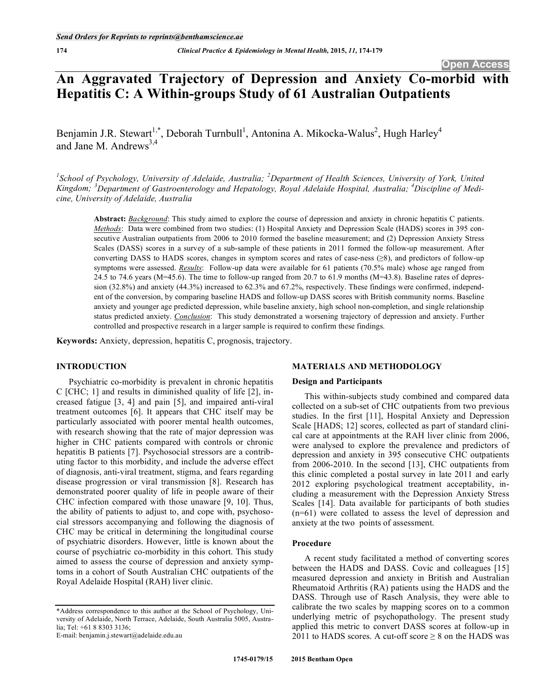# **An Aggravated Trajectory of Depression and Anxiety Co-morbid with Hepatitis C: A Within-groups Study of 61 Australian Outpatients**

Benjamin J.R. Stewart<sup>1,\*</sup>, Deborah Turnbull<sup>1</sup>, Antonina A. Mikocka-Walus<sup>2</sup>, Hugh Harley<sup>4</sup> and Jane M. Andrews $^{3,4}$ 

<sup>1</sup> School of Psychology, University of Adelaide, Australia; <sup>2</sup> Department of Health Sciences, University of York, United Kingdom; <sup>3</sup>Department of Gastroenterology and Hepatology, Royal Adelaide Hospital, Australia; <sup>4</sup>Discipline of Medi*cine, University of Adelaide, Australia* 

**Abstract:** *Background*: This study aimed to explore the course of depression and anxiety in chronic hepatitis C patients. *Methods*: Data were combined from two studies: (1) Hospital Anxiety and Depression Scale (HADS) scores in 395 consecutive Australian outpatients from 2006 to 2010 formed the baseline measurement; and (2) Depression Anxiety Stress Scales (DASS) scores in a survey of a sub-sample of these patients in 2011 formed the follow-up measurement. After converting DASS to HADS scores, changes in symptom scores and rates of case-ness  $(\geq 8)$ , and predictors of follow-up symptoms were assessed. *Results*: Follow-up data were available for 61 patients (70.5% male) whose age ranged from 24.5 to 74.6 years ( $M=45.6$ ). The time to follow-up ranged from 20.7 to 61.9 months ( $M=43.8$ ). Baseline rates of depression (32.8%) and anxiety (44.3%) increased to 62.3% and 67.2%, respectively. These findings were confirmed, independent of the conversion, by comparing baseline HADS and follow-up DASS scores with British community norms. Baseline anxiety and younger age predicted depression, while baseline anxiety, high school non-completion, and single relationship status predicted anxiety. *Conclusion*: This study demonstrated a worsening trajectory of depression and anxiety. Further controlled and prospective research in a larger sample is required to confirm these findings.

**Keywords:** Anxiety, depression, hepatitis C, prognosis, trajectory.

## **INTRODUCTION**

Psychiatric co-morbidity is prevalent in chronic hepatitis C [CHC; 1] and results in diminished quality of life [2], increased fatigue [3, 4] and pain [5], and impaired anti-viral treatment outcomes [6]. It appears that CHC itself may be particularly associated with poorer mental health outcomes, with research showing that the rate of major depression was higher in CHC patients compared with controls or chronic hepatitis B patients [7]. Psychosocial stressors are a contributing factor to this morbidity, and include the adverse effect of diagnosis, anti-viral treatment, stigma, and fears regarding disease progression or viral transmission [8]. Research has demonstrated poorer quality of life in people aware of their CHC infection compared with those unaware [9, 10]. Thus, the ability of patients to adjust to, and cope with, psychosocial stressors accompanying and following the diagnosis of CHC may be critical in determining the longitudinal course of psychiatric disorders. However, little is known about the course of psychiatric co-morbidity in this cohort. This study aimed to assess the course of depression and anxiety symptoms in a cohort of South Australian CHC outpatients of the Royal Adelaide Hospital (RAH) liver clinic.

E-mail: benjamin.j.stewart@adelaide.edu.au

# **MATERIALS AND METHODOLOGY**

#### **Design and Participants**

This within-subjects study combined and compared data collected on a sub-set of CHC outpatients from two previous studies. In the first [11], Hospital Anxiety and Depression Scale [HADS; 12] scores, collected as part of standard clinical care at appointments at the RAH liver clinic from 2006, were analysed to explore the prevalence and predictors of depression and anxiety in 395 consecutive CHC outpatients from 2006-2010. In the second [13], CHC outpatients from this clinic completed a postal survey in late 2011 and early 2012 exploring psychological treatment acceptability, including a measurement with the Depression Anxiety Stress Scales [14]. Data available for participants of both studies (n=61) were collated to assess the level of depression and anxiety at the two points of assessment.

## **Procedure**

A recent study facilitated a method of converting scores between the HADS and DASS. Covic and colleagues [15] measured depression and anxiety in British and Australian Rheumatoid Arthritis (RA) patients using the HADS and the DASS. Through use of Rasch Analysis, they were able to calibrate the two scales by mapping scores on to a common underlying metric of psychopathology. The present study applied this metric to convert DASS scores at follow-up in 2011 to HADS scores. A cut-off score  $\geq 8$  on the HADS was

<sup>\*</sup>Address correspondence to this author at the School of Psychology, University of Adelaide, North Terrace, Adelaide, South Australia 5005, Australia; Tel: +61 8 8303 3136;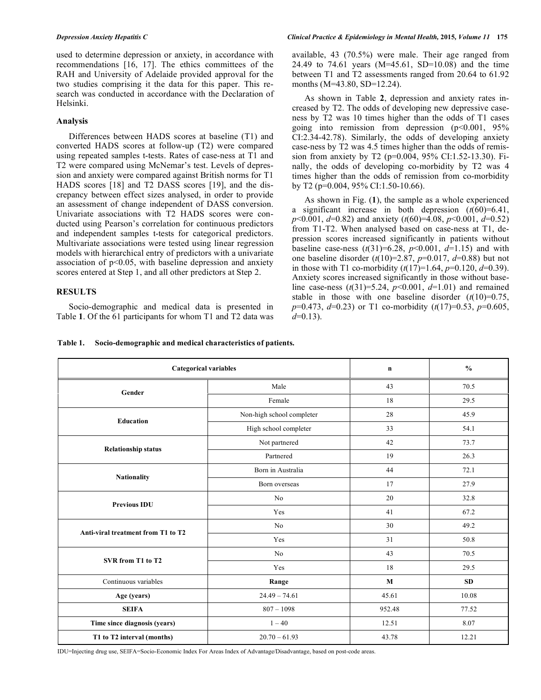used to determine depression or anxiety, in accordance with recommendations [16, 17]. The ethics committees of the RAH and University of Adelaide provided approval for the two studies comprising it the data for this paper. This research was conducted in accordance with the Declaration of Helsinki.

# **Analysis**

Differences between HADS scores at baseline (T1) and converted HADS scores at follow-up (T2) were compared using repeated samples t-tests. Rates of case-ness at T1 and T2 were compared using McNemar's test. Levels of depression and anxiety were compared against British norms for T1 HADS scores [18] and T2 DASS scores [19], and the discrepancy between effect sizes analysed, in order to provide an assessment of change independent of DASS conversion. Univariate associations with T2 HADS scores were conducted using Pearson's correlation for continuous predictors and independent samples t-tests for categorical predictors. Multivariate associations were tested using linear regression models with hierarchical entry of predictors with a univariate association of p<0.05, with baseline depression and anxiety scores entered at Step 1, and all other predictors at Step 2.

# **RESULTS**

Socio-demographic and medical data is presented in Table **1**. Of the 61 participants for whom T1 and T2 data was available, 43 (70.5%) were male. Their age ranged from 24.49 to 74.61 years (M=45.61, SD=10.08) and the time between T1 and T2 assessments ranged from 20.64 to 61.92 months (M=43.80, SD=12.24).

As shown in Table **2**, depression and anxiety rates increased by T2. The odds of developing new depressive caseness by T2 was 10 times higher than the odds of T1 cases going into remission from depression  $(p<0.001, 95\%$ CI:2.34-42.78). Similarly, the odds of developing anxiety case-ness by T2 was 4.5 times higher than the odds of remission from anxiety by T2 (p=0.004, 95% CI:1.52-13.30). Finally, the odds of developing co-morbidity by T2 was 4 times higher than the odds of remission from co-morbidity by T2 (p=0.004, 95% CI:1.50-10.66).

As shown in Fig. (**1**), the sample as a whole experienced a significant increase in both depression  $(t(60)=6.41)$ , *p*<0.001, *d*=0.82) and anxiety (*t*(60)=4.08, *p*<0.001, *d*=0.52) from T1-T2. When analysed based on case-ness at T1, depression scores increased significantly in patients without baseline case-ness  $(t(31)=6.28, p<0.001, d=1.15)$  and with one baseline disorder (*t*(10)=2.87, *p*=0.017, *d*=0.88) but not in those with T1 co-morbidity  $(t(17)=1.64, p=0.120, d=0.39)$ . Anxiety scores increased significantly in those without baseline case-ness (*t*(31)=5.24, *p*<0.001, *d*=1.01) and remained stable in those with one baseline disorder  $(t(10)=0.75)$ , *p*=0.473, *d*=0.23) or T1 co-morbidity (*t*(17)=0.53, *p*=0.605, *d*=0.13).

| Table 1. | Socio-demographic and medical characteristics of patients. |  |
|----------|------------------------------------------------------------|--|
|----------|------------------------------------------------------------|--|

| <b>Categorical variables</b>       |                           | $\mathbf n$  | $\frac{0}{0}$ |
|------------------------------------|---------------------------|--------------|---------------|
| Gender                             | Male                      | 43           | 70.5          |
|                                    | Female                    | 18           | 29.5          |
| <b>Education</b>                   | Non-high school completer | 28           | 45.9          |
|                                    | High school completer     | 33           | 54.1          |
| <b>Relationship status</b>         | Not partnered             | 42           | 73.7          |
|                                    | Partnered                 | 19           | 26.3          |
| <b>Nationality</b>                 | Born in Australia         | 44           | 72.1          |
|                                    | Born overseas             | 17           | 27.9          |
| <b>Previous IDU</b>                | No                        | 20           | 32.8          |
|                                    | Yes                       | 41           | 67.2          |
| Anti-viral treatment from T1 to T2 | No                        | 30           | 49.2          |
|                                    | Yes                       | 31           | 50.8          |
| SVR from T1 to T2                  | No                        | 43           | 70.5          |
|                                    | Yes                       | 18           | 29.5          |
| Continuous variables               | Range                     | $\mathbf{M}$ | SD            |
| Age (years)                        | $24.49 - 74.61$           | 45.61        | 10.08         |
| <b>SEIFA</b>                       | $807 - 1098$              | 952.48       | 77.52         |
| Time since diagnosis (years)       | $1 - 40$                  | 12.51        | 8.07          |
| T1 to T2 interval (months)         | $20.70 - 61.93$           | 43.78        | 12.21         |

IDU=Injecting drug use, SEIFA=Socio-Economic Index For Areas Index of Advantage/Disadvantage, based on post-code areas.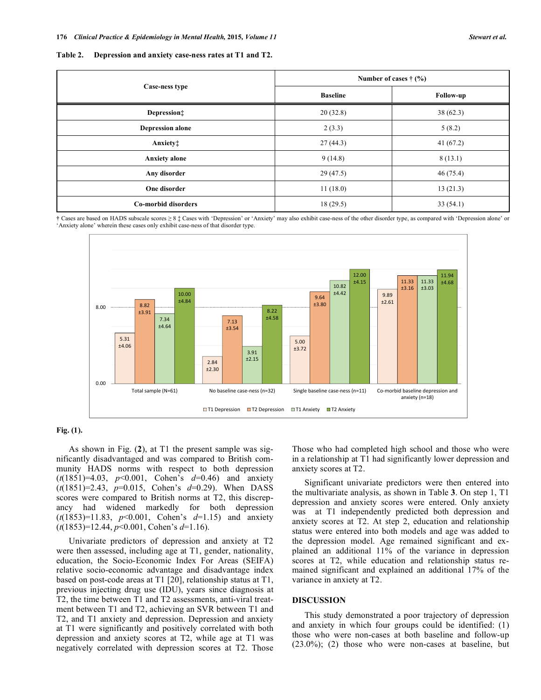|  | Table 2. Depression and anxiety case-ness rates at T1 and T2. |  |  |  |  |  |  |
|--|---------------------------------------------------------------|--|--|--|--|--|--|
|--|---------------------------------------------------------------|--|--|--|--|--|--|

|                         | Number of cases $\dagger$ (%) |                    |  |  |
|-------------------------|-------------------------------|--------------------|--|--|
| Case-ness type          | <b>Baseline</b>               | Follow-up          |  |  |
| Depression:             | 20(32.8)                      | 38(62.3)           |  |  |
| <b>Depression alone</b> | 2(3.3)                        | 5(8.2)<br>41(67.2) |  |  |
| Anxiety‡                | 27(44.3)                      |                    |  |  |
| <b>Anxiety</b> alone    | 9(14.8)                       | 8(13.1)            |  |  |
| Any disorder            | 29(47.5)                      | 46(75.4)           |  |  |
| One disorder            | 11(18.0)                      | 13(21.3)           |  |  |
| Co-morbid disorders     | 18(29.5)<br>33(54.1)          |                    |  |  |

**†** Cases are based on HADS subscale scores 8 ‡ Cases with 'Depression' or 'Anxiety' may also exhibit case-ness of the other disorder type, as compared with 'Depression alone' or 'Anxiety alone' wherein these cases only exhibit case-ness of that disorder type.



# **Fig. (1).**

As shown in Fig. (**2**), at T1 the present sample was significantly disadvantaged and was compared to British community HADS norms with respect to both depression (*t*(1851)=4.03, *p*<0.001, Cohen's *d*=0.46) and anxiety (*t*(1851)=2.43, *p*=0.015, Cohen's *d*=0.29). When DASS scores were compared to British norms at T2, this discrepancy had widened markedly for both depression (*t*(1853)=11.83, *p*<0.001, Cohen's *d*=1.15) and anxiety (*t*(1853)=12.44, *p*<0.001, Cohen's *d*=1.16).

Univariate predictors of depression and anxiety at T2 were then assessed, including age at T1, gender, nationality, education, the Socio-Economic Index For Areas (SEIFA) relative socio-economic advantage and disadvantage index based on post-code areas at T1 [20], relationship status at T1, previous injecting drug use (IDU), years since diagnosis at T2, the time between T1 and T2 assessments, anti-viral treatment between T1 and T2, achieving an SVR between T1 and T2, and T1 anxiety and depression. Depression and anxiety at T1 were significantly and positively correlated with both depression and anxiety scores at T2, while age at T1 was negatively correlated with depression scores at T2. Those

Those who had completed high school and those who were in a relationship at T1 had significantly lower depression and anxiety scores at T2.

Significant univariate predictors were then entered into the multivariate analysis, as shown in Table **3**. On step 1, T1 depression and anxiety scores were entered. Only anxiety was at T1 independently predicted both depression and anxiety scores at T2. At step 2, education and relationship status were entered into both models and age was added to the depression model. Age remained significant and explained an additional 11% of the variance in depression scores at T2, while education and relationship status remained significant and explained an additional 17% of the variance in anxiety at T2.

## **DISCUSSION**

This study demonstrated a poor trajectory of depression and anxiety in which four groups could be identified: (1) those who were non-cases at both baseline and follow-up (23.0%); (2) those who were non-cases at baseline, but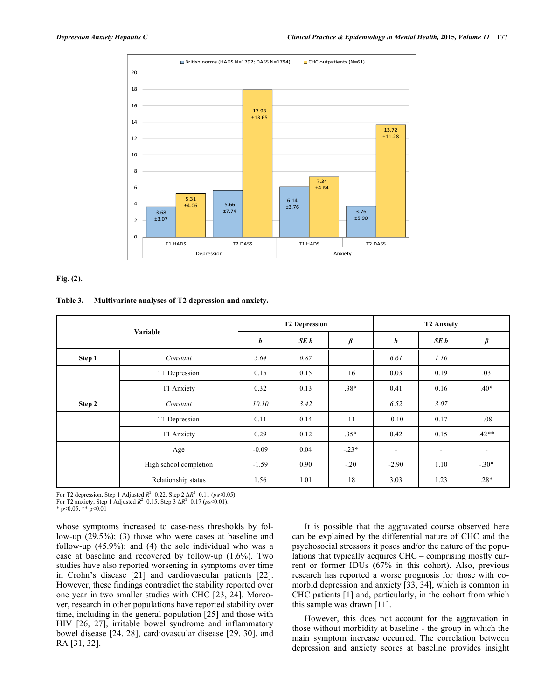

# **Fig. (2).**

### **Table 3. Multivariate analyses of T2 depression and anxiety.**

| Variable |                        | <b>T2 Depression</b> |      |               | <b>T2 Anxiety</b>        |                          |         |
|----------|------------------------|----------------------|------|---------------|--------------------------|--------------------------|---------|
|          |                        | b                    | SE b | $\pmb{\beta}$ | b                        | SE b                     | $\beta$ |
| Step 1   | Constant               | 5.64                 | 0.87 |               | 6.61                     | 1.10                     |         |
|          | T1 Depression          | 0.15                 | 0.15 | .16           | 0.03                     | 0.19                     | .03     |
|          | T1 Anxiety             | 0.32                 | 0.13 | $.38*$        | 0.41                     | 0.16                     | $.40*$  |
| Step 2   | Constant               | 10.10                | 3.42 |               | 6.52                     | 3.07                     |         |
|          | T1 Depression          | 0.11                 | 0.14 | .11           | $-0.10$                  | 0.17                     | $-.08$  |
|          | T1 Anxiety             | 0.29                 | 0.12 | $.35*$        | 0.42                     | 0.15                     | $.42**$ |
|          | Age                    | $-0.09$              | 0.04 | $-.23*$       | $\overline{\phantom{a}}$ | $\overline{\phantom{a}}$ | ۰       |
|          | High school completion | $-1.59$              | 0.90 | $-.20$        | $-2.90$                  | 1.10                     | $-.30*$ |
|          | Relationship status    | 1.56                 | 1.01 | .18           | 3.03                     | 1.23                     | $.28*$  |

For T2 depression, Step 1 Adjusted  $R^2 = 0.22$ , Step 2  $\Delta R^2 = 0.11$  (*ps*<0.05).

For T2 anxiety, Step 1 Adjusted  $R^2 = 0.15$ , Step 3  $\Delta R^2 = 0.17$  ( $ps \le 0.01$ ).

\* p<0.05, \*\* p<0.01

whose symptoms increased to case-ness thresholds by follow-up (29.5%); (3) those who were cases at baseline and follow-up (45.9%); and (4) the sole individual who was a case at baseline and recovered by follow-up (1.6%). Two studies have also reported worsening in symptoms over time in Crohn's disease [21] and cardiovascular patients [22]. However, these findings contradict the stability reported over one year in two smaller studies with CHC [23, 24]. Moreover, research in other populations have reported stability over time, including in the general population [25] and those with HIV [26, 27], irritable bowel syndrome and inflammatory bowel disease [24, 28], cardiovascular disease [29, 30], and RA [31, 32].

It is possible that the aggravated course observed here can be explained by the differential nature of CHC and the psychosocial stressors it poses and/or the nature of the populations that typically acquires CHC – comprising mostly current or former IDUs (67% in this cohort). Also, previous research has reported a worse prognosis for those with comorbid depression and anxiety [33, 34], which is common in CHC patients [1] and, particularly, in the cohort from which this sample was drawn [11].

However, this does not account for the aggravation in those without morbidity at baseline - the group in which the main symptom increase occurred. The correlation between depression and anxiety scores at baseline provides insight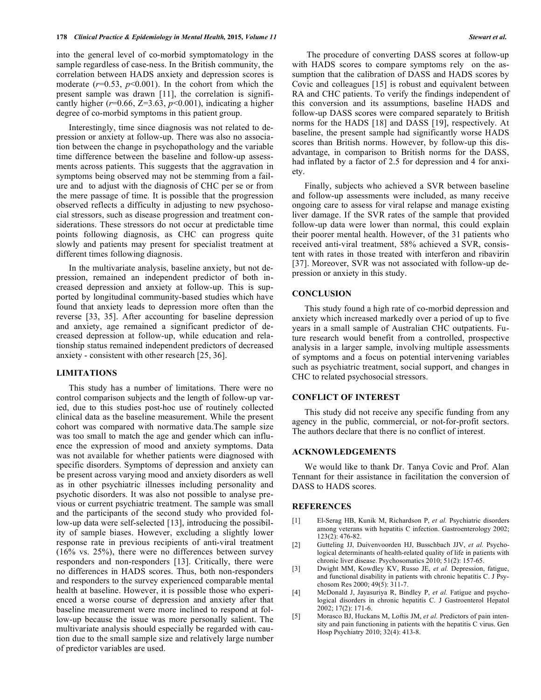into the general level of co-morbid symptomatology in the sample regardless of case-ness. In the British community, the correlation between HADS anxiety and depression scores is moderate  $(r=0.53, p<0.001)$ . In the cohort from which the present sample was drawn [11], the correlation is significantly higher ( $r=0.66$ ,  $Z=3.63$ ,  $p<0.001$ ), indicating a higher degree of co-morbid symptoms in this patient group.

Interestingly, time since diagnosis was not related to depression or anxiety at follow-up. There was also no association between the change in psychopathology and the variable time difference between the baseline and follow-up assessments across patients. This suggests that the aggravation in symptoms being observed may not be stemming from a failure and to adjust with the diagnosis of CHC per se or from the mere passage of time. It is possible that the progression observed reflects a difficulty in adjusting to new psychosocial stressors, such as disease progression and treatment considerations. These stressors do not occur at predictable time points following diagnosis, as CHC can progress quite slowly and patients may present for specialist treatment at different times following diagnosis.

In the multivariate analysis, baseline anxiety, but not depression, remained an independent predictor of both increased depression and anxiety at follow-up. This is supported by longitudinal community-based studies which have found that anxiety leads to depression more often than the reverse [33, 35]. After accounting for baseline depression and anxiety, age remained a significant predictor of decreased depression at follow-up, while education and relationship status remained independent predictors of decreased anxiety - consistent with other research [25, 36].

# **LIMITATIONS**

This study has a number of limitations. There were no control comparison subjects and the length of follow-up varied, due to this studies post-hoc use of routinely collected clinical data as the baseline measurement. While the present cohort was compared with normative data.The sample size was too small to match the age and gender which can influence the expression of mood and anxiety symptoms. Data was not available for whether patients were diagnosed with specific disorders. Symptoms of depression and anxiety can be present across varying mood and anxiety disorders as well as in other psychiatric illnesses including personality and psychotic disorders. It was also not possible to analyse previous or current psychiatric treatment. The sample was small and the participants of the second study who provided follow-up data were self-selected [13], introducing the possibility of sample biases. However, excluding a slightly lower response rate in previous recipients of anti-viral treatment (16% vs. 25%), there were no differences between survey responders and non-responders [13]. Critically, there were no differences in HADS scores. Thus, both non-responders and responders to the survey experienced comparable mental health at baseline. However, it is possible those who experienced a worse course of depression and anxiety after that baseline measurement were more inclined to respond at follow-up because the issue was more personally salient. The multivariate analysis should especially be regarded with caution due to the small sample size and relatively large number of predictor variables are used.

 The procedure of converting DASS scores at follow-up with HADS scores to compare symptoms rely on the assumption that the calibration of DASS and HADS scores by Covic and colleagues [15] is robust and equivalent between RA and CHC patients. To verify the findings independent of this conversion and its assumptions, baseline HADS and follow-up DASS scores were compared separately to British norms for the HADS [18] and DASS [19], respectively. At baseline, the present sample had significantly worse HADS scores than British norms. However, by follow-up this disadvantage, in comparison to British norms for the DASS, had inflated by a factor of 2.5 for depression and 4 for anxiety.

Finally, subjects who achieved a SVR between baseline and follow-up assessments were included, as many receive ongoing care to assess for viral relapse and manage existing liver damage. If the SVR rates of the sample that provided follow-up data were lower than normal, this could explain their poorer mental health. However, of the 31 patients who received anti-viral treatment, 58% achieved a SVR, consistent with rates in those treated with interferon and ribavirin [37]. Moreover, SVR was not associated with follow-up depression or anxiety in this study.

#### **CONCLUSION**

This study found a high rate of co-morbid depression and anxiety which increased markedly over a period of up to five years in a small sample of Australian CHC outpatients. Future research would benefit from a controlled, prospective analysis in a larger sample, involving multiple assessments of symptoms and a focus on potential intervening variables such as psychiatric treatment, social support, and changes in CHC to related psychosocial stressors.

# **CONFLICT OF INTEREST**

This study did not receive any specific funding from any agency in the public, commercial, or not-for-profit sectors. The authors declare that there is no conflict of interest.

### **ACKNOWLEDGEMENTS**

We would like to thank Dr. Tanya Covic and Prof. Alan Tennant for their assistance in facilitation the conversion of DASS to HADS scores.

### **REFERENCES**

- [1] El-Serag HB, Kunik M, Richardson P, *et al.* Psychiatric disorders among veterans with hepatitis C infection. Gastroenterology 2002; 123(2): 476-82.
- [2] Gutteling JJ, Duivenvoorden HJ, Busschbach JJV, *et al.* Psychological determinants of health-related quality of life in patients with chronic liver disease. Psychosomatics 2010; 51(2): 157-65.
- [3] Dwight MM, Kowdley KV, Russo JE, *et al.* Depression, fatigue, and functional disability in patients with chronic hepatitis C. J Psychosom Res 2000; 49(5): 311-7.
- [4] McDonald J, Jayasuriya R, Bindley P, *et al.* Fatigue and psychological disorders in chronic hepatitis C. J Gastroenterol Hepatol 2002; 17(2): 171-6.
- [5] Morasco BJ, Huckans M, Loftis JM, *et al.* Predictors of pain intensity and pain functioning in patients with the hepatitis C virus. Gen Hosp Psychiatry 2010; 32(4): 413-8.